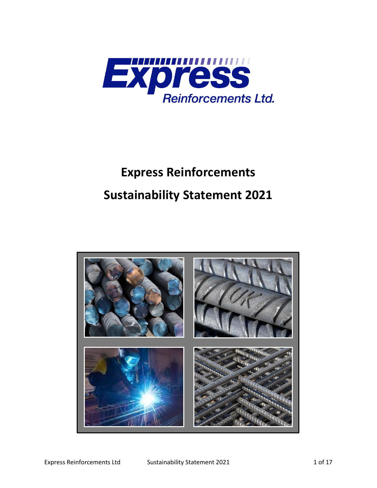

# **Express Reinforcements Sustainability Statement 2021**

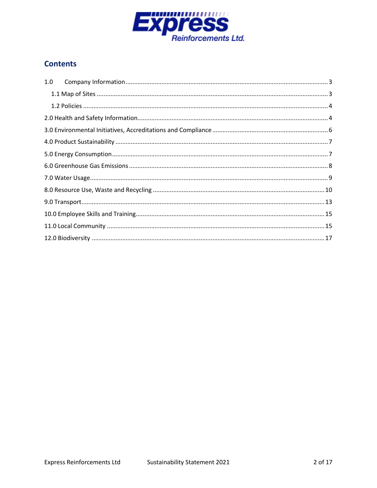

# **Contents**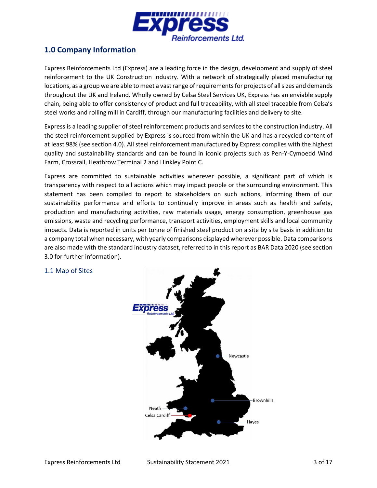

## <span id="page-2-0"></span>**1.0 Company Information**

Express Reinforcements Ltd (Express) are a leading force in the design, development and supply of steel reinforcement to the UK Construction Industry. With a network of strategically placed manufacturing locations, as a group we are able to meet a vast range of requirements for projects of all sizes and demands throughout the UK and Ireland. Wholly owned by Celsa Steel Services UK, Express has an enviable supply chain, being able to offer consistency of product and full traceability, with all steel traceable from Celsa's steel works and rolling mill in Cardiff, through our manufacturing facilities and delivery to site.

Express is a leading supplier of steel reinforcement products and services to the construction industry. All the steel reinforcement supplied by Express is sourced from within the UK and has a recycled content of at least 98% (see section 4.0). All steel reinforcement manufactured by Express complies with the highest quality and sustainability standards and can be found in iconic projects such as Pen-Y-Cymoedd Wind Farm, Crossrail, Heathrow Terminal 2 and Hinkley Point C.

Express are committed to sustainable activities wherever possible, a significant part of which is transparency with respect to all actions which may impact people or the surrounding environment. This statement has been compiled to report to stakeholders on such actions, informing them of our sustainability performance and efforts to continually improve in areas such as health and safety, production and manufacturing activities, raw materials usage, energy consumption, greenhouse gas emissions, waste and recycling performance, transport activities, employment skills and local community impacts. Data is reported in units per tonne of finished steel product on a site by site basis in addition to a company total when necessary, with yearly comparisons displayed wherever possible. Data comparisons are also made with the standard industry dataset, referred to in this report as BAR Data 2020 (see section 3.0 for further information).

#### <span id="page-2-1"></span>1.1 Map of Sites

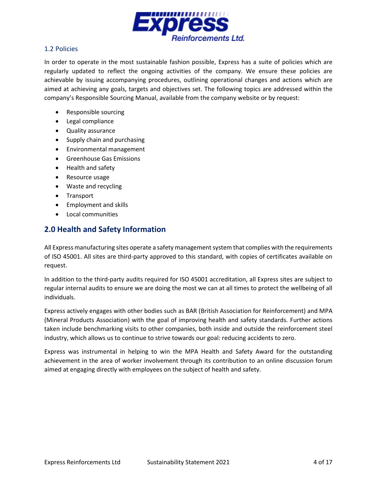

#### <span id="page-3-0"></span>1.2 Policies

In order to operate in the most sustainable fashion possible, Express has a suite of policies which are regularly updated to reflect the ongoing activities of the company. We ensure these policies are achievable by issuing accompanying procedures, outlining operational changes and actions which are aimed at achieving any goals, targets and objectives set. The following topics are addressed within the company's Responsible Sourcing Manual, available from the company website or by request:

- Responsible sourcing
- Legal compliance
- Quality assurance
- Supply chain and purchasing
- Environmental management
- Greenhouse Gas Emissions
- Health and safety
- Resource usage
- Waste and recycling
- Transport
- Employment and skills
- Local communities

# <span id="page-3-1"></span>**2.0 Health and Safety Information**

All Express manufacturing sites operate a safety management system that complies with the requirements of ISO 45001. All sites are third-party approved to this standard, with copies of certificates available on request.

In addition to the third-party audits required for ISO 45001 accreditation, all Express sites are subject to regular internal audits to ensure we are doing the most we can at all times to protect the wellbeing of all individuals.

Express actively engages with other bodies such as BAR (British Association for Reinforcement) and MPA (Mineral Products Association) with the goal of improving health and safety standards. Further actions taken include benchmarking visits to other companies, both inside and outside the reinforcement steel industry, which allows us to continue to strive towards our goal: reducing accidents to zero.

Express was instrumental in helping to win the MPA Health and Safety Award for the outstanding achievement in the area of worker involvement through its contribution to an online discussion forum aimed at engaging directly with employees on the subject of health and safety.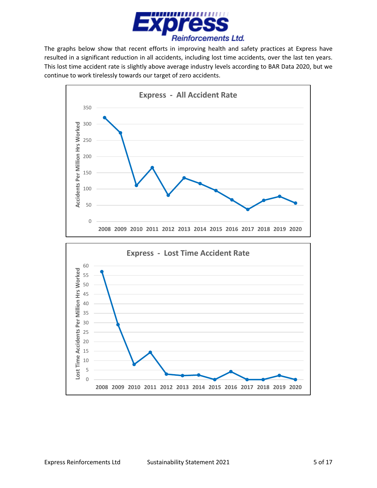

The graphs below show that recent efforts in improving health and safety practices at Express have resulted in a significant reduction in all accidents, including lost time accidents, over the last ten years. This lost time accident rate is slightly above average industry levels according to BAR Data 2020, but we continue to work tirelessly towards our target of zero accidents.

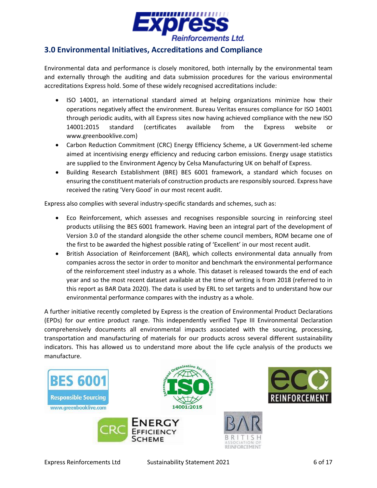

#### <span id="page-5-0"></span>**3.0 Environmental Initiatives, Accreditations and Compliance**

Environmental data and performance is closely monitored, both internally by the environmental team and externally through the auditing and data submission procedures for the various environmental accreditations Express hold. Some of these widely recognised accreditations include:

- ISO 14001, an international standard aimed at helping organizations minimize how their operations negatively affect the environment. Bureau Veritas ensures compliance for ISO 14001 through periodic audits, with all Express sites now having achieved compliance with the new ISO 14001:2015 standard (certificates available from the Express website or www.greenbooklive.com)
- Carbon Reduction Commitment (CRC) Energy Efficiency Scheme, a UK Government-led scheme aimed at incentivising energy efficiency and reducing carbon emissions. Energy usage statistics are supplied to the Environment Agency by Celsa Manufacturing UK on behalf of Express.
- Building Research Establishment (BRE) BES 6001 framework, a standard which focuses on ensuring the constituent materials of construction products are responsibly sourced. Express have received the rating 'Very Good' in our most recent audit.

Express also complies with several industry-specific standards and schemes, such as:

- Eco Reinforcement, which assesses and recognises responsible sourcing in reinforcing steel products utilising the BES 6001 framework. Having been an integral part of the development of Version 3.0 of the standard alongside the other scheme council members, ROM became one of the first to be awarded the highest possible rating of 'Excellent' in our most recent audit.
- British Association of Reinforcement (BAR), which collects environmental data annually from companies across the sector in order to monitor and benchmark the environmental performance of the reinforcement steel industry as a whole. This dataset is released towards the end of each year and so the most recent dataset available at the time of writing is from 2018 (referred to in this report as BAR Data 2020). The data is used by ERL to set targets and to understand how our environmental performance compares with the industry as a whole.

A further initiative recently completed by Express is the creation of Environmental Product Declarations (EPDs) for our entire product range. This independently verified Type III Environmental Declaration comprehensively documents all environmental impacts associated with the sourcing, processing, transportation and manufacturing of materials for our products across several different sustainability indicators. This has allowed us to understand more about the life cycle analysis of the products we manufacture.

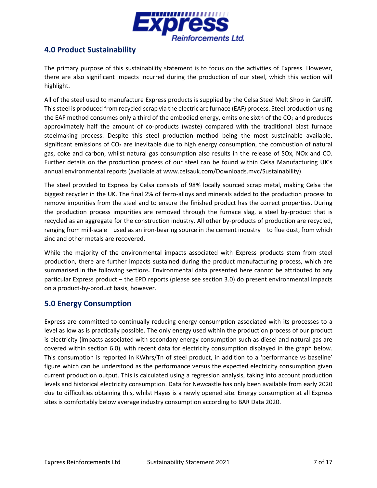

## <span id="page-6-0"></span>**4.0 Product Sustainability**

The primary purpose of this sustainability statement is to focus on the activities of Express. However, there are also significant impacts incurred during the production of our steel, which this section will highlight.

All of the steel used to manufacture Express products is supplied by the Celsa Steel Melt Shop in Cardiff. This steel is produced from recycled scrap via the electric arc furnace (EAF) process. Steel production using the EAF method consumes only a third of the embodied energy, emits one sixth of the  $CO<sub>2</sub>$  and produces approximately half the amount of co-products (waste) compared with the traditional blast furnace steelmaking process. Despite this steel production method being the most sustainable available, significant emissions of  $CO<sub>2</sub>$  are inevitable due to high energy consumption, the combustion of natural gas, coke and carbon, whilst natural gas consumption also results in the release of SOx, NOx and CO. Further details on the production process of our steel can be found within Celsa Manufacturing UK's annual environmental reports (available at www.celsauk.com/Downloads.mvc/Sustainability).

The steel provided to Express by Celsa consists of 98% locally sourced scrap metal, making Celsa the biggest recycler in the UK. The final 2% of ferro-alloys and minerals added to the production process to remove impurities from the steel and to ensure the finished product has the correct properties. During the production process impurities are removed through the furnace slag, a steel by-product that is recycled as an aggregate for the construction industry. All other by-products of production are recycled, ranging from mill-scale – used as an iron-bearing source in the cement industry – to flue dust, from which zinc and other metals are recovered.

While the majority of the environmental impacts associated with Express products stem from steel production, there are further impacts sustained during the product manufacturing process, which are summarised in the following sections. Environmental data presented here cannot be attributed to any particular Express product – the EPD reports (please see section 3.0) do present environmental impacts on a product-by-product basis, however.

#### <span id="page-6-1"></span>**5.0 Energy Consumption**

Express are committed to continually reducing energy consumption associated with its processes to a level as low as is practically possible. The only energy used within the production process of our product is electricity (impacts associated with secondary energy consumption such as diesel and natural gas are covered within section 6.0), with recent data for electricity consumption displayed in the graph below. This consumption is reported in KWhrs/Tn of steel product, in addition to a 'performance vs baseline' figure which can be understood as the performance versus the expected electricity consumption given current production output. This is calculated using a regression analysis, taking into account production levels and historical electricity consumption. Data for Newcastle has only been available from early 2020 due to difficulties obtaining this, whilst Hayes is a newly opened site. Energy consumption at all Express sites is comfortably below average industry consumption according to BAR Data 2020.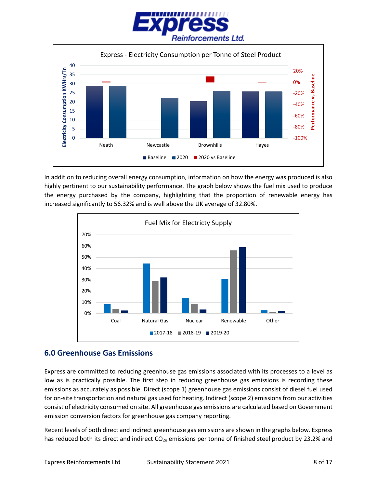



In addition to reducing overall energy consumption, information on how the energy was produced is also highly pertinent to our sustainability performance. The graph below shows the fuel mix used to produce the energy purchased by the company, highlighting that the proportion of renewable energy has increased significantly to 56.32% and is well above the UK average of 32.80%.



#### <span id="page-7-0"></span>**6.0 Greenhouse Gas Emissions**

Express are committed to reducing greenhouse gas emissions associated with its processes to a level as low as is practically possible. The first step in reducing greenhouse gas emissions is recording these emissions as accurately as possible. Direct (scope 1) greenhouse gas emissions consist of diesel fuel used for on-site transportation and natural gas used for heating. Indirect (scope 2) emissions from our activities consist of electricity consumed on site. All greenhouse gas emissions are calculated based on Government emission conversion factors for greenhouse gas company reporting.

Recent levels of both direct and indirect greenhouse gas emissions are shown in the graphs below. Express has reduced both its direct and indirect  $CO_{2e}$  emissions per tonne of finished steel product by 23.2% and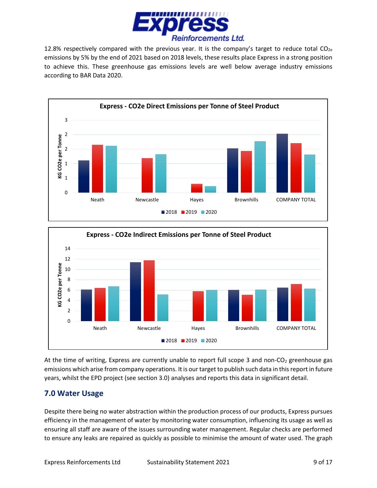

12.8% respectively compared with the previous year. It is the company's target to reduce total  $CO<sub>2e</sub>$ emissions by 5% by the end of 2021 based on 2018 levels, these results place Express in a strong position to achieve this. These greenhouse gas emissions levels are well below average industry emissions according to BAR Data 2020.





At the time of writing, Express are currently unable to report full scope 3 and non-CO<sub>2</sub> greenhouse gas emissions which arise from company operations. It is our target to publish such data in this report in future years, whilst the EPD project (see section 3.0) analyses and reports this data in significant detail.

# <span id="page-8-0"></span>**7.0 Water Usage**

Despite there being no water abstraction within the production process of our products, Express pursues efficiency in the management of water by monitoring water consumption, influencing its usage as well as ensuring all staff are aware of the issues surrounding water management. Regular checks are performed to ensure any leaks are repaired as quickly as possible to minimise the amount of water used. The graph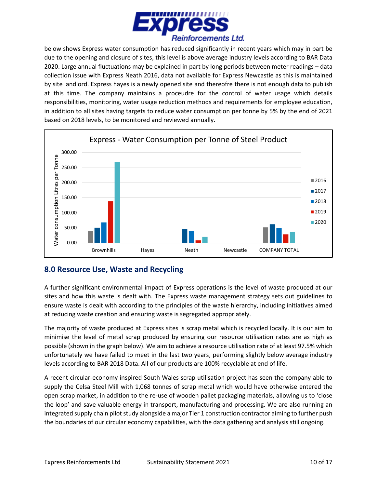

below shows Express water consumption has reduced significantly in recent years which may in part be due to the opening and closure of sites, this level is above average industry levels according to BAR Data 2020. Large annual fluctuations may be explained in part by long periods between meter readings – data collection issue with Express Neath 2016, data not available for Express Newcastle as this is maintained by site landlord. Express hayes is a newly opened site and thereofre there is not enough data to publish at this time. The company maintains a proceudre for the control of water usage which details responsibilities, monitoring, water usage reduction methods and requirements for employee education, in addition to all sites having targets to reduce water consumption per tonne by 5% by the end of 2021 based on 2018 levels, to be monitored and reviewed annually.



# <span id="page-9-0"></span>**8.0 Resource Use, Waste and Recycling**

A further significant environmental impact of Express operations is the level of waste produced at our sites and how this waste is dealt with. The Express waste management strategy sets out guidelines to ensure waste is dealt with according to the principles of the waste hierarchy, including initiatives aimed at reducing waste creation and ensuring waste is segregated appropriately.

The majority of waste produced at Express sites is scrap metal which is recycled locally. It is our aim to minimise the level of metal scrap produced by ensuring our resource utilisation rates are as high as possible (shown in the graph below). We aim to achieve a resource utilisation rate of at least 97.5% which unfortunately we have failed to meet in the last two years, performing slightly below average industry levels according to BAR 2018 Data. All of our products are 100% recyclable at end of life.

A recent circular-economy inspired South Wales scrap utilisation project has seen the company able to supply the Celsa Steel Mill with 1,068 tonnes of scrap metal which would have otherwise entered the open scrap market, in addition to the re-use of wooden pallet packaging materials, allowing us to 'close the loop' and save valuable energy in transport, manufacturing and processing. We are also running an integrated supply chain pilot study alongside a major Tier 1 construction contractor aiming to further push the boundaries of our circular economy capabilities, with the data gathering and analysis still ongoing.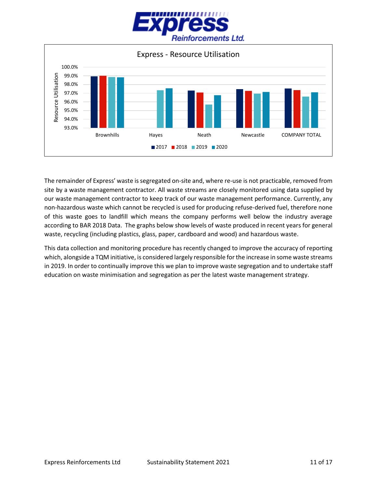



The remainder of Express' waste is segregated on-site and, where re-use is not practicable, removed from site by a waste management contractor. All waste streams are closely monitored using data supplied by our waste management contractor to keep track of our waste management performance. Currently, any non-hazardous waste which cannot be recycled is used for producing refuse-derived fuel, therefore none of this waste goes to landfill which means the company performs well below the industry average according to BAR 2018 Data. The graphs below show levels of waste produced in recent years for general waste, recycling (including plastics, glass, paper, cardboard and wood) and hazardous waste.

This data collection and monitoring procedure has recently changed to improve the accuracy of reporting which, alongside a TQM initiative, is considered largely responsible for the increase in some waste streams in 2019. In order to continually improve this we plan to improve waste segregation and to undertake staff education on waste minimisation and segregation as per the latest waste management strategy.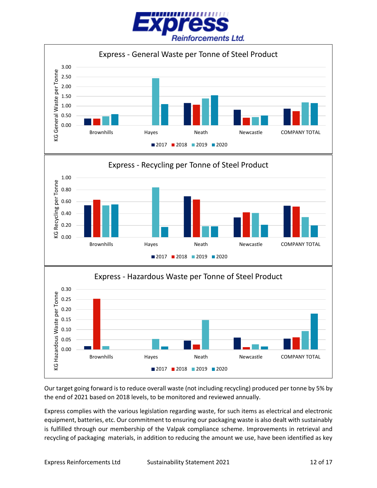



Our target going forward is to reduce overall waste (not including recycling) produced per tonne by 5% by the end of 2021 based on 2018 levels, to be monitored and reviewed annually.

Express complies with the various legislation regarding waste, for such items as electrical and electronic equipment, batteries, etc. Our commitment to ensuring our packaging waste is also dealt with sustainably is fulfilled through our membership of the Valpak compliance scheme. Improvements in retrieval and recycling of packaging materials, in addition to reducing the amount we use, have been identified as key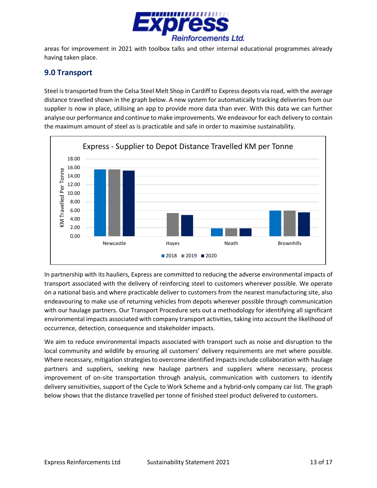

areas for improvement in 2021 with toolbox talks and other internal educational programmes already having taken place.

## <span id="page-12-0"></span>**9.0 Transport**

Steel is transported from the Celsa Steel Melt Shop in Cardiff to Express depots via road, with the average distance travelled shown in the graph below. A new system for automatically tracking deliveries from our supplier is now in place, utilising an app to provide more data than ever. With this data we can further analyse our performance and continue to make improvements. We endeavour for each delivery to contain the maximum amount of steel as is practicable and safe in order to maximise sustainability.



In partnership with its hauliers, Express are committed to reducing the adverse environmental impacts of transport associated with the delivery of reinforcing steel to customers wherever possible. We operate on a national basis and where practicable deliver to customers from the nearest manufacturing site, also endeavouring to make use of returning vehicles from depots wherever possible through communication with our haulage partners. Our Transport Procedure sets out a methodology for identifying all significant environmental impacts associated with company transport activities, taking into account the likelihood of occurrence, detection, consequence and stakeholder impacts.

We aim to reduce environmental impacts associated with transport such as noise and disruption to the local community and wildlife by ensuring all customers' delivery requirements are met where possible. Where necessary, mitigation strategies to overcome identified impacts include collaboration with haulage partners and suppliers, seeking new haulage partners and suppliers where necessary, process improvement of on-site transportation through analysis, communication with customers to identify delivery sensitivities, support of the Cycle to Work Scheme and a hybrid-only company car list. The graph below shows that the distance travelled per tonne of finished steel product delivered to customers.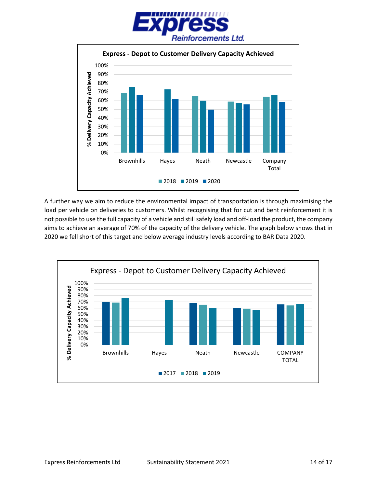



A further way we aim to reduce the environmental impact of transportation is through maximising the load per vehicle on deliveries to customers. Whilst recognising that for cut and bent reinforcement it is not possible to use the full capacity of a vehicle and still safely load and off-load the product, the company aims to achieve an average of 70% of the capacity of the delivery vehicle. The graph below shows that in 2020 we fell short of this target and below average industry levels according to BAR Data 2020.

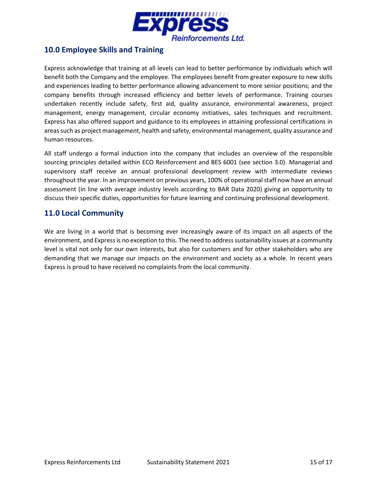

## <span id="page-14-0"></span>**10.0 Employee Skills and Training**

Express acknowledge that training at all levels can lead to better performance by individuals which will benefit both the Company and the employee. The employees benefit from greater exposure to new skills and experiences leading to better performance allowing advancement to more senior positions; and the company benefits through increased efficiency and better levels of performance. Training courses undertaken recently include safety, first aid, quality assurance, environmental awareness, project management, energy management, circular economy initiatives, sales techniques and recruitment. Express has also offered support and guidance to its employees in attaining professional certifications in areas such as project management, health and safety, environmental management, quality assurance and human resources.

All staff undergo a formal induction into the company that includes an overview of the responsible sourcing principles detailed within ECO Reinforcement and BES 6001 (see section 3.0). Managerial and supervisory staff receive an annual professional development review with intermediate reviews throughout the year. In an improvement on previous years, 100% of operational staff now have an annual assessment (in line with average industry levels according to BAR Data 2020) giving an opportunity to discuss their specific duties, opportunities for future learning and continuing professional development.

#### <span id="page-14-1"></span>**11.0 Local Community**

We are living in a world that is becoming ever increasingly aware of its impact on all aspects of the environment, and Expressis no exception to this. The need to address sustainability issues at a community level is vital not only for our own interests, but also for customers and for other stakeholders who are demanding that we manage our impacts on the environment and society as a whole. In recent years Express is proud to have received no complaints from the local community.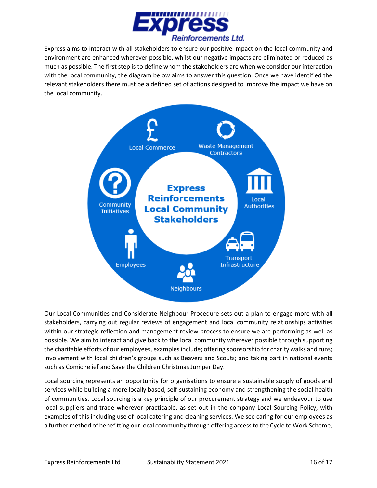

Express aims to interact with all stakeholders to ensure our positive impact on the local community and environment are enhanced wherever possible, whilst our negative impacts are eliminated or reduced as much as possible. The first step is to define whom the stakeholders are when we consider our interaction with the local community, the diagram below aims to answer this question. Once we have identified the relevant stakeholders there must be a defined set of actions designed to improve the impact we have on the local community.



Our Local Communities and Considerate Neighbour Procedure sets out a plan to engage more with all stakeholders, carrying out regular reviews of engagement and local community relationships activities within our strategic reflection and management review process to ensure we are performing as well as possible. We aim to interact and give back to the local community wherever possible through supporting the charitable efforts of our employees, examples include; offering sponsorship for charity walks and runs; involvement with local children's groups such as Beavers and Scouts; and taking part in national events such as Comic relief and Save the Children Christmas Jumper Day.

Local sourcing represents an opportunity for organisations to ensure a sustainable supply of goods and services while building a more locally based, self-sustaining economy and strengthening the social health of communities. Local sourcing is a key principle of our procurement strategy and we endeavour to use local suppliers and trade wherever practicable, as set out in the company Local Sourcing Policy, with examples of this including use of local catering and cleaning services. We see caring for our employees as a further method of benefitting our local community through offering access to the Cycle to Work Scheme,